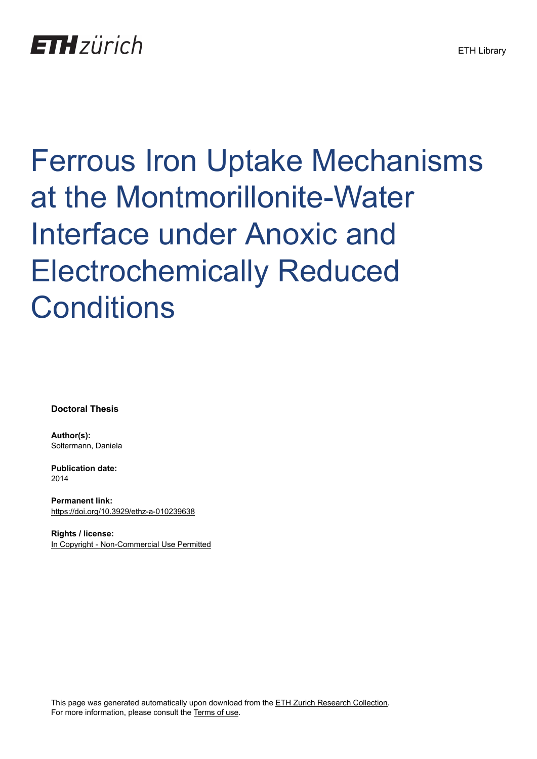## **ETH**zürich

# Ferrous Iron Uptake Mechanisms at the Montmorillonite-Water Interface under Anoxic and Electrochemically Reduced **Conditions**

**Doctoral Thesis**

**Author(s):** Soltermann, Daniela

**Publication date:** 2014

**Permanent link:** <https://doi.org/10.3929/ethz-a-010239638>

**Rights / license:** [In Copyright - Non-Commercial Use Permitted](http://rightsstatements.org/page/InC-NC/1.0/)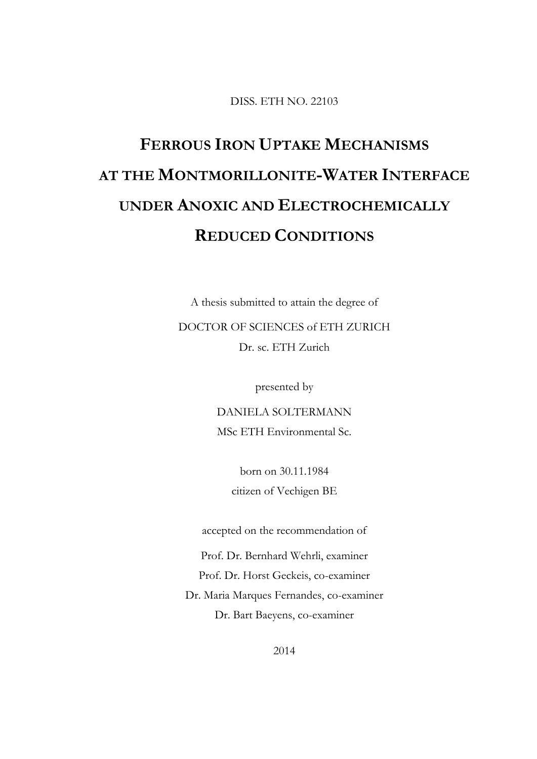DISS. ETH NO. 22103

## **FERROUS IRON UPTAKE MECHANISMS AT THE MONTMORILLONITE-WATER INTERFACE UNDER ANOXIC AND ELECTROCHEMICALLY REDUCED CONDITIONS**

A thesis submitted to attain the degree of

DOCTOR OF SCIENCES of ETH ZURICH Dr. sc. ETH Zurich

presented by

DANIELA SOLTERMANN MSc ETH Environmental Sc.

> born on 30.11.1984 citizen of Vechigen BE

accepted on the recommendation of

Prof. Dr. Bernhard Wehrli, examiner

Prof. Dr. Horst Geckeis, co-examiner

Dr. Maria Marques Fernandes, co-examiner Dr. Bart Baeyens, co-examiner

2014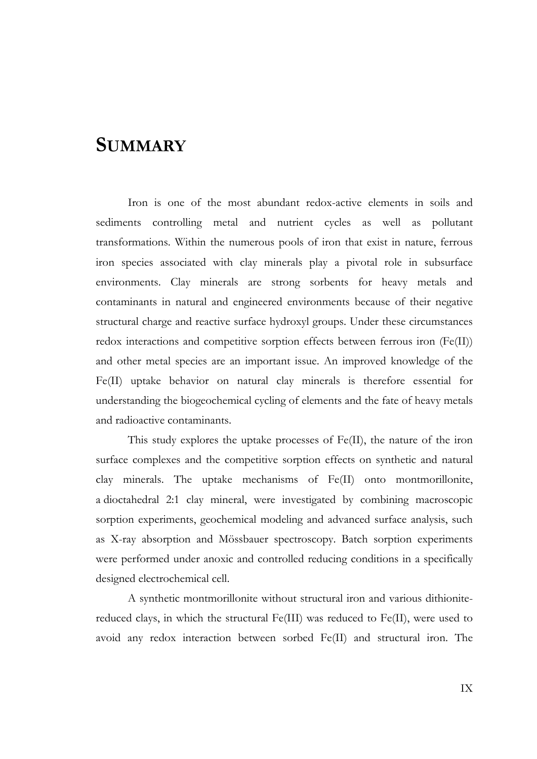#### **SUMMARY**

Iron is one of the most abundant redox-active elements in soils and sediments controlling metal and nutrient cycles as well as pollutant transformations. Within the numerous pools of iron that exist in nature, ferrous iron species associated with clay minerals play a pivotal role in subsurface environments. Clay minerals are strong sorbents for heavy metals and contaminants in natural and engineered environments because of their negative structural charge and reactive surface hydroxyl groups. Under these circumstances redox interactions and competitive sorption effects between ferrous iron (Fe(II)) and other metal species are an important issue. An improved knowledge of the Fe(II) uptake behavior on natural clay minerals is therefore essential for understanding the biogeochemical cycling of elements and the fate of heavy metals and radioactive contaminants.

This study explores the uptake processes of Fe(II), the nature of the iron surface complexes and the competitive sorption effects on synthetic and natural clay minerals. The uptake mechanisms of Fe(II) onto montmorillonite, a dioctahedral 2:1 clay mineral, were investigated by combining macroscopic sorption experiments, geochemical modeling and advanced surface analysis, such as X-ray absorption and Mössbauer spectroscopy. Batch sorption experiments were performed under anoxic and controlled reducing conditions in a specifically designed electrochemical cell.

A synthetic montmorillonite without structural iron and various dithionitereduced clays, in which the structural Fe(III) was reduced to Fe(II), were used to avoid any redox interaction between sorbed Fe(II) and structural iron. The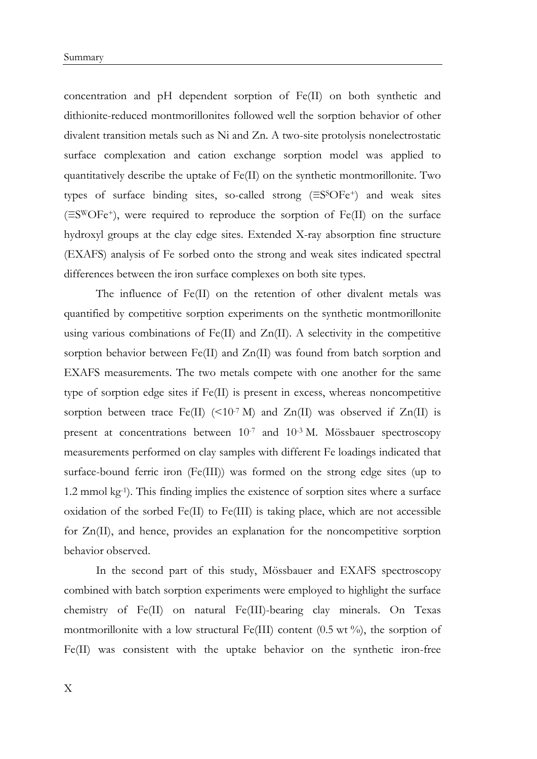concentration and pH dependent sorption of Fe(II) on both synthetic and dithionite-reduced montmorillonites followed well the sorption behavior of other divalent transition metals such as Ni and Zn. A two-site protolysis nonelectrostatic surface complexation and cation exchange sorption model was applied to quantitatively describe the uptake of Fe(II) on the synthetic montmorillonite. Two types of surface binding sites, so-called strong  $(≡S^SOFe^+)$  and weak sites  $(\equiv S^{\rm W}O\rm Fe^{+})$ , were required to reproduce the sorption of Fe(II) on the surface hydroxyl groups at the clay edge sites. Extended X-ray absorption fine structure (EXAFS) analysis of Fe sorbed onto the strong and weak sites indicated spectral differences between the iron surface complexes on both site types.

The influence of Fe(II) on the retention of other divalent metals was quantified by competitive sorption experiments on the synthetic montmorillonite using various combinations of  $Fe(II)$  and  $Zn(II)$ . A selectivity in the competitive sorption behavior between Fe(II) and Zn(II) was found from batch sorption and EXAFS measurements. The two metals compete with one another for the same type of sorption edge sites if Fe(II) is present in excess, whereas noncompetitive sorption between trace Fe(II) (<10<sup>-7</sup> M) and Zn(II) was observed if Zn(II) is present at concentrations between 10-7 and 10-3 M. Mössbauer spectroscopy measurements performed on clay samples with different Fe loadings indicated that surface-bound ferric iron (Fe(III)) was formed on the strong edge sites (up to 1.2 mmol kg-1). This finding implies the existence of sorption sites where a surface oxidation of the sorbed Fe(II) to Fe(III) is taking place, which are not accessible for Zn(II), and hence, provides an explanation for the noncompetitive sorption behavior observed.

In the second part of this study, Mössbauer and EXAFS spectroscopy combined with batch sorption experiments were employed to highlight the surface chemistry of Fe(II) on natural Fe(III)-bearing clay minerals. On Texas montmorillonite with a low structural Fe(III) content (0.5 wt  $\%$ ), the sorption of Fe(II) was consistent with the uptake behavior on the synthetic iron-free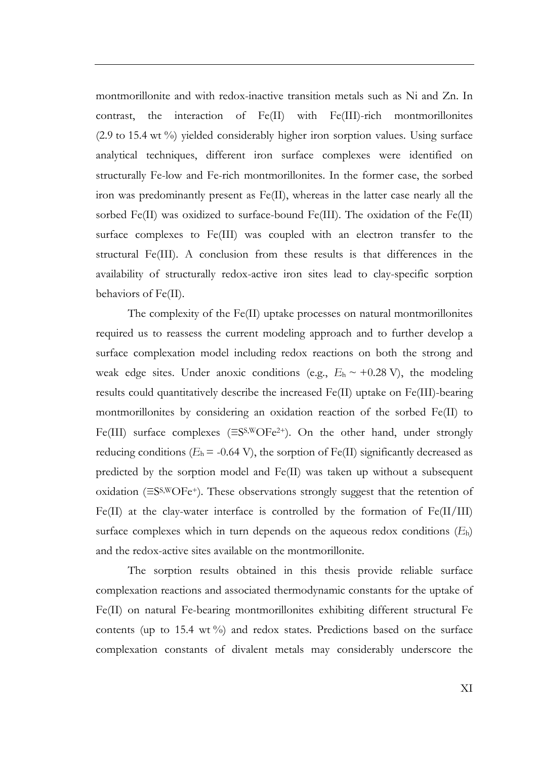montmorillonite and with redox-inactive transition metals such as Ni and Zn. In contrast, the interaction of Fe(II) with Fe(III)-rich montmorillonites (2.9 to 15.4 wt %) yielded considerably higher iron sorption values. Using surface analytical techniques, different iron surface complexes were identified on structurally Fe-low and Fe-rich montmorillonites. In the former case, the sorbed iron was predominantly present as Fe(II), whereas in the latter case nearly all the sorbed Fe(II) was oxidized to surface-bound Fe(III). The oxidation of the Fe(II) surface complexes to Fe(III) was coupled with an electron transfer to the structural Fe(III). A conclusion from these results is that differences in the availability of structurally redox-active iron sites lead to clay-specific sorption behaviors of Fe(II).

The complexity of the Fe(II) uptake processes on natural montmorillonites required us to reassess the current modeling approach and to further develop a surface complexation model including redox reactions on both the strong and weak edge sites. Under anoxic conditions (e.g.,  $E_h \sim +0.28 \text{ V}$ ), the modeling results could quantitatively describe the increased Fe(II) uptake on Fe(III)-bearing montmorillonites by considering an oxidation reaction of the sorbed Fe(II) to Fe(III) surface complexes (≡SS,WOFe2+). On the other hand, under strongly reducing conditions  $(E_h = -0.64 \text{ V})$ , the sorption of Fe(II) significantly decreased as predicted by the sorption model and Fe(II) was taken up without a subsequent oxidation (≡SS,WOFe+). These observations strongly suggest that the retention of Fe(II) at the clay-water interface is controlled by the formation of Fe(II/III) surface complexes which in turn depends on the aqueous redox conditions (*E*h) and the redox-active sites available on the montmorillonite.

The sorption results obtained in this thesis provide reliable surface complexation reactions and associated thermodynamic constants for the uptake of Fe(II) on natural Fe-bearing montmorillonites exhibiting different structural Fe contents (up to 15.4 wt %) and redox states. Predictions based on the surface complexation constants of divalent metals may considerably underscore the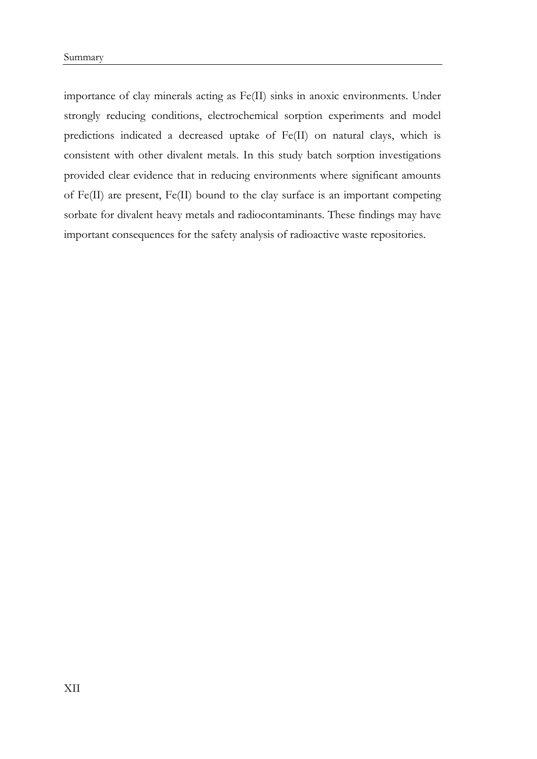importance of clay minerals acting as Fe(II) sinks in anoxic environments. Under strongly reducing conditions, electrochemical sorption experiments and model predictions indicated a decreased uptake of Fe(II) on natural clays, which is consistent with other divalent metals. In this study batch sorption investigations provided clear evidence that in reducing environments where significant amounts of Fe(II) are present, Fe(II) bound to the clay surface is an important competing sorbate for divalent heavy metals and radiocontaminants. These findings may have important consequences for the safety analysis of radioactive waste repositories.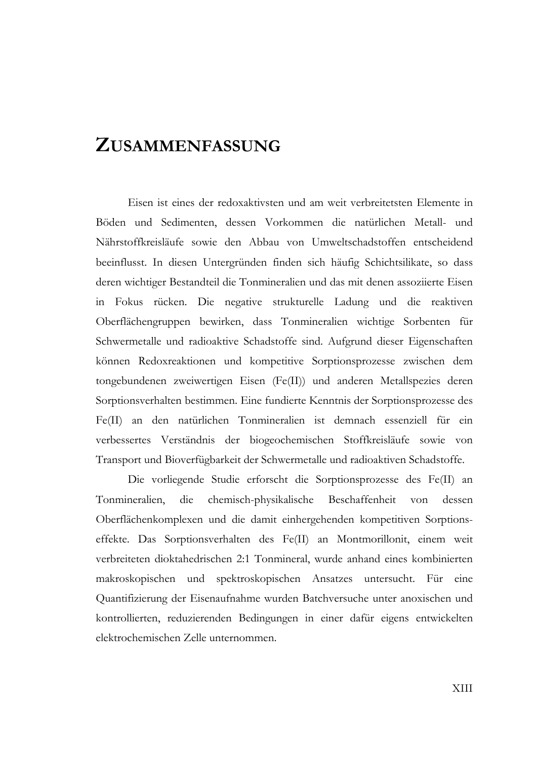#### **ZUSAMMENFASSUNG**

Eisen ist eines der redoxaktivsten und am weit verbreitetsten Elemente in Böden und Sedimenten, dessen Vorkommen die natürlichen Metall- und Nährstoffkreisläufe sowie den Abbau von Umweltschadstoffen entscheidend beeinflusst. In diesen Untergründen finden sich häufig Schichtsilikate, so dass deren wichtiger Bestandteil die Tonmineralien und das mit denen assoziierte Eisen in Fokus rücken. Die negative strukturelle Ladung und die reaktiven Oberflächengruppen bewirken, dass Tonmineralien wichtige Sorbenten für Schwermetalle und radioaktive Schadstoffe sind. Aufgrund dieser Eigenschaften können Redoxreaktionen und kompetitive Sorptionsprozesse zwischen dem tongebundenen zweiwertigen Eisen (Fe(II)) und anderen Metallspezies deren Sorptionsverhalten bestimmen. Eine fundierte Kenntnis der Sorptionsprozesse des Fe(II) an den natürlichen Tonmineralien ist demnach essenziell für ein verbessertes Verständnis der biogeochemischen Stoffkreisläufe sowie von Transport und Bioverfügbarkeit der Schwermetalle und radioaktiven Schadstoffe.

Die vorliegende Studie erforscht die Sorptionsprozesse des Fe(II) an Tonmineralien, die chemisch-physikalische Beschaffenheit von dessen Oberflächenkomplexen und die damit einhergehenden kompetitiven Sorptionseffekte. Das Sorptionsverhalten des Fe(II) an Montmorillonit, einem weit verbreiteten dioktahedrischen 2:1 Tonmineral, wurde anhand eines kombinierten makroskopischen und spektroskopischen Ansatzes untersucht. Für eine Quantifizierung der Eisenaufnahme wurden Batchversuche unter anoxischen und kontrollierten, reduzierenden Bedingungen in einer dafür eigens entwickelten elektrochemischen Zelle unternommen.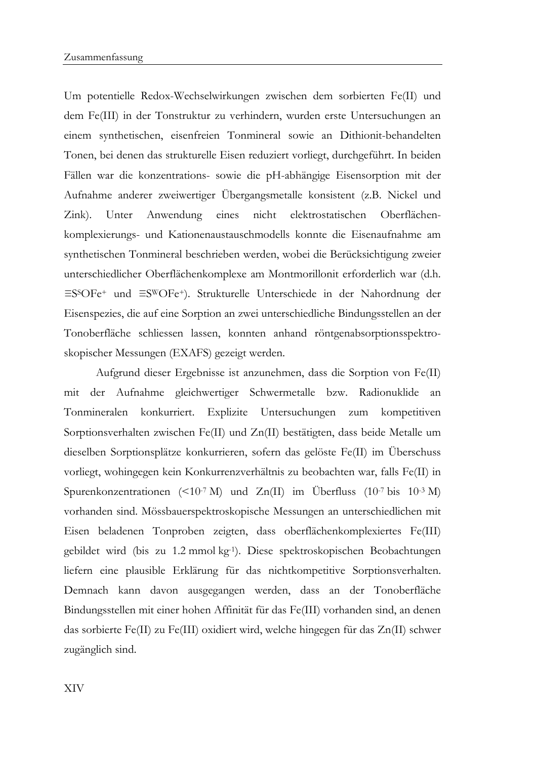Um potentielle Redox-Wechselwirkungen zwischen dem sorbierten Fe(II) und dem Fe(III) in der Tonstruktur zu verhindern, wurden erste Untersuchungen an einem synthetischen, eisenfreien Tonmineral sowie an Dithionit-behandelten Tonen, bei denen das strukturelle Eisen reduziert vorliegt, durchgeführt. In beiden Fällen war die konzentrations- sowie die pH-abhängige Eisensorption mit der Aufnahme anderer zweiwertiger Übergangsmetalle konsistent (z.B. Nickel und Zink). Unter Anwendung eines nicht elektrostatischen Oberflächenkomplexierungs- und Kationenaustauschmodells konnte die Eisenaufnahme am synthetischen Tonmineral beschrieben werden, wobei die Berücksichtigung zweier unterschiedlicher Oberflächenkomplexe am Montmorillonit erforderlich war (d.h. ≡SSOFe+ und ≡SWOFe+). Strukturelle Unterschiede in der Nahordnung der Eisenspezies, die auf eine Sorption an zwei unterschiedliche Bindungsstellen an der Tonoberfläche schliessen lassen, konnten anhand röntgenabsorptionsspektroskopischer Messungen (EXAFS) gezeigt werden.

Aufgrund dieser Ergebnisse ist anzunehmen, dass die Sorption von Fe(II) mit der Aufnahme gleichwertiger Schwermetalle bzw. Radionuklide an Tonmineralen konkurriert. Explizite Untersuchungen zum kompetitiven Sorptionsverhalten zwischen Fe(II) und Zn(II) bestätigten, dass beide Metalle um dieselben Sorptionsplätze konkurrieren, sofern das gelöste Fe(II) im Überschuss vorliegt, wohingegen kein Konkurrenzverhältnis zu beobachten war, falls Fe(II) in Spurenkonzentrationen (<10<sup>-7</sup> M) und Zn(II) im Überfluss (10<sup>-7</sup> bis 10<sup>-3</sup> M) vorhanden sind. Mössbauerspektroskopische Messungen an unterschiedlichen mit Eisen beladenen Tonproben zeigten, dass oberflächenkomplexiertes Fe(III) gebildet wird (bis zu 1.2 mmol kg-1). Diese spektroskopischen Beobachtungen liefern eine plausible Erklärung für das nichtkompetitive Sorptionsverhalten. Demnach kann davon ausgegangen werden, dass an der Tonoberfläche Bindungsstellen mit einer hohen Affinität für das Fe(III) vorhanden sind, an denen das sorbierte Fe(II) zu Fe(III) oxidiert wird, welche hingegen für das Zn(II) schwer zugänglich sind.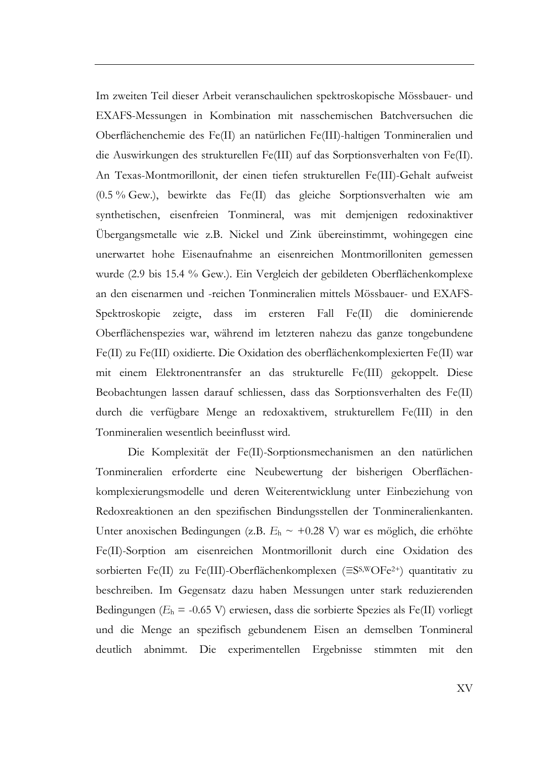Im zweiten Teil dieser Arbeit veranschaulichen spektroskopische Mössbauer- und EXAFS-Messungen in Kombination mit nasschemischen Batchversuchen die Oberflächenchemie des Fe(II) an natürlichen Fe(III)-haltigen Tonmineralien und die Auswirkungen des strukturellen Fe(III) auf das Sorptionsverhalten von Fe(II). An Texas-Montmorillonit, der einen tiefen strukturellen Fe(III)-Gehalt aufweist (0.5 % Gew.), bewirkte das Fe(II) das gleiche Sorptionsverhalten wie am synthetischen, eisenfreien Tonmineral, was mit demjenigen redoxinaktiver Übergangsmetalle wie z.B. Nickel und Zink übereinstimmt, wohingegen eine unerwartet hohe Eisenaufnahme an eisenreichen Montmorilloniten gemessen wurde (2.9 bis 15.4 % Gew.). Ein Vergleich der gebildeten Oberflächenkomplexe an den eisenarmen und -reichen Tonmineralien mittels Mössbauer- und EXAFS-Spektroskopie zeigte, dass im ersteren Fall Fe(II) die dominierende Oberflächenspezies war, während im letzteren nahezu das ganze tongebundene Fe(II) zu Fe(III) oxidierte. Die Oxidation des oberflächenkomplexierten Fe(II) war mit einem Elektronentransfer an das strukturelle Fe(III) gekoppelt. Diese Beobachtungen lassen darauf schliessen, dass das Sorptionsverhalten des Fe(II) durch die verfügbare Menge an redoxaktivem, strukturellem Fe(III) in den Tonmineralien wesentlich beeinflusst wird.

Die Komplexität der Fe(II)-Sorptionsmechanismen an den natürlichen Tonmineralien erforderte eine Neubewertung der bisherigen Oberflächenkomplexierungsmodelle und deren Weiterentwicklung unter Einbeziehung von Redoxreaktionen an den spezifischen Bindungsstellen der Tonmineralienkanten. Unter anoxischen Bedingungen (z.B. *E*<sub>h</sub> ~ +0.28 V) war es möglich, die erhöhte Fe(II)-Sorption am eisenreichen Montmorillonit durch eine Oxidation des sorbierten Fe(II) zu Fe(III)-Oberflächenkomplexen (≡SS,WOFe2+) quantitativ zu beschreiben. Im Gegensatz dazu haben Messungen unter stark reduzierenden Bedingungen (*E*h = -0.65 V) erwiesen, dass die sorbierte Spezies als Fe(II) vorliegt und die Menge an spezifisch gebundenem Eisen an demselben Tonmineral deutlich abnimmt. Die experimentellen Ergebnisse stimmten mit den